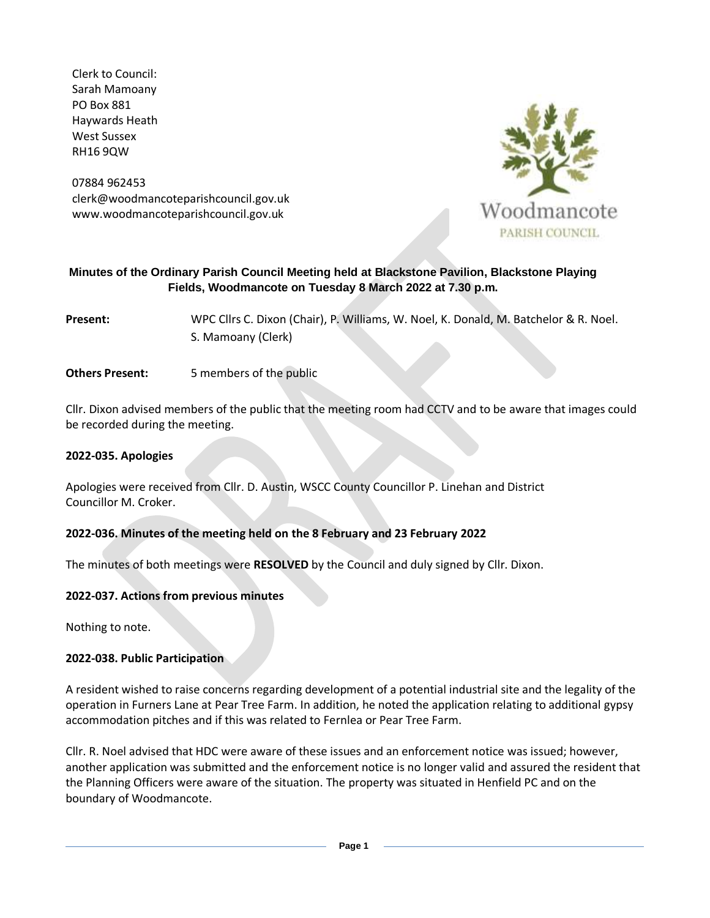Clerk to Council: Sarah Mamoany PO Box 881 Haywards Heath West Sussex RH16 9QW

07884 962453 clerk@woodmancoteparishcouncil.gov.uk www.woodmancoteparishcouncil.gov.uk



#### **Minutes of the Ordinary Parish Council Meeting held at Blackstone Pavilion, Blackstone Playing Fields, Woodmancote on Tuesday 8 March 2022 at 7.30 p.m.**

**Present:** WPC Cllrs C. Dixon (Chair), P. Williams, W. Noel, K. Donald, M. Batchelor & R. Noel. S. Mamoany (Clerk)

**Others Present:** 5 members of the public

Cllr. Dixon advised members of the public that the meeting room had CCTV and to be aware that images could be recorded during the meeting.

#### **2022-035. Apologies**

Apologies were received from Cllr. D. Austin, WSCC County Councillor P. Linehan and District Councillor M. Croker.

## **2022-036. Minutes of the meeting held on the 8 February and 23 February 2022**

The minutes of both meetings were **RESOLVED** by the Council and duly signed by Cllr. Dixon.

#### **2022-037. Actions from previous minutes**

Nothing to note.

#### **2022-038. Public Participation**

A resident wished to raise concerns regarding development of a potential industrial site and the legality of the operation in Furners Lane at Pear Tree Farm. In addition, he noted the application relating to additional gypsy accommodation pitches and if this was related to Fernlea or Pear Tree Farm.

Cllr. R. Noel advised that HDC were aware of these issues and an enforcement notice was issued; however, another application was submitted and the enforcement notice is no longer valid and assured the resident that the Planning Officers were aware of the situation. The property was situated in Henfield PC and on the boundary of Woodmancote.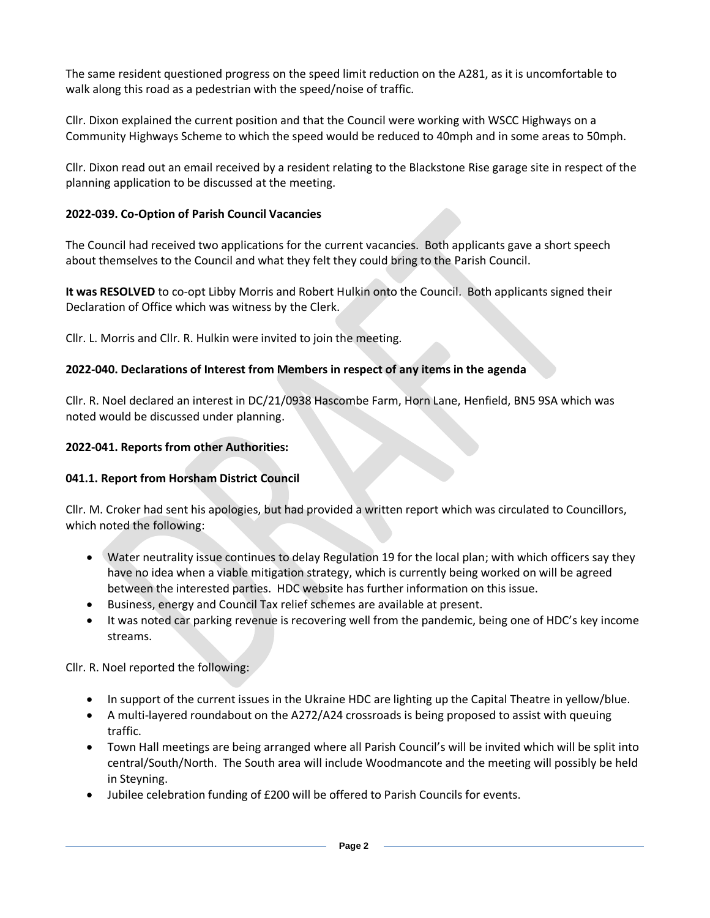The same resident questioned progress on the speed limit reduction on the A281, as it is uncomfortable to walk along this road as a pedestrian with the speed/noise of traffic.

Cllr. Dixon explained the current position and that the Council were working with WSCC Highways on a Community Highways Scheme to which the speed would be reduced to 40mph and in some areas to 50mph.

Cllr. Dixon read out an email received by a resident relating to the Blackstone Rise garage site in respect of the planning application to be discussed at the meeting.

# **2022-039. Co-Option of Parish Council Vacancies**

The Council had received two applications for the current vacancies. Both applicants gave a short speech about themselves to the Council and what they felt they could bring to the Parish Council.

**It was RESOLVED** to co-opt Libby Morris and Robert Hulkin onto the Council. Both applicants signed their Declaration of Office which was witness by the Clerk.

Cllr. L. Morris and Cllr. R. Hulkin were invited to join the meeting.

# **2022-040. Declarations of Interest from Members in respect of any items in the agenda**

Cllr. R. Noel declared an interest in DC/21/0938 Hascombe Farm, Horn Lane, Henfield, BN5 9SA which was noted would be discussed under planning.

# **2022-041. Reports from other Authorities:**

## **041.1. Report from Horsham District Council**

Cllr. M. Croker had sent his apologies, but had provided a written report which was circulated to Councillors, which noted the following:

- Water neutrality issue continues to delay Regulation 19 for the local plan; with which officers say they have no idea when a viable mitigation strategy, which is currently being worked on will be agreed between the interested parties. HDC website has further information on this issue.
- Business, energy and Council Tax relief schemes are available at present.
- It was noted car parking revenue is recovering well from the pandemic, being one of HDC's key income streams.

Cllr. R. Noel reported the following:

- In support of the current issues in the Ukraine HDC are lighting up the Capital Theatre in yellow/blue.
- A multi-layered roundabout on the A272/A24 crossroads is being proposed to assist with queuing traffic.
- Town Hall meetings are being arranged where all Parish Council's will be invited which will be split into central/South/North. The South area will include Woodmancote and the meeting will possibly be held in Steyning.
- Jubilee celebration funding of £200 will be offered to Parish Councils for events.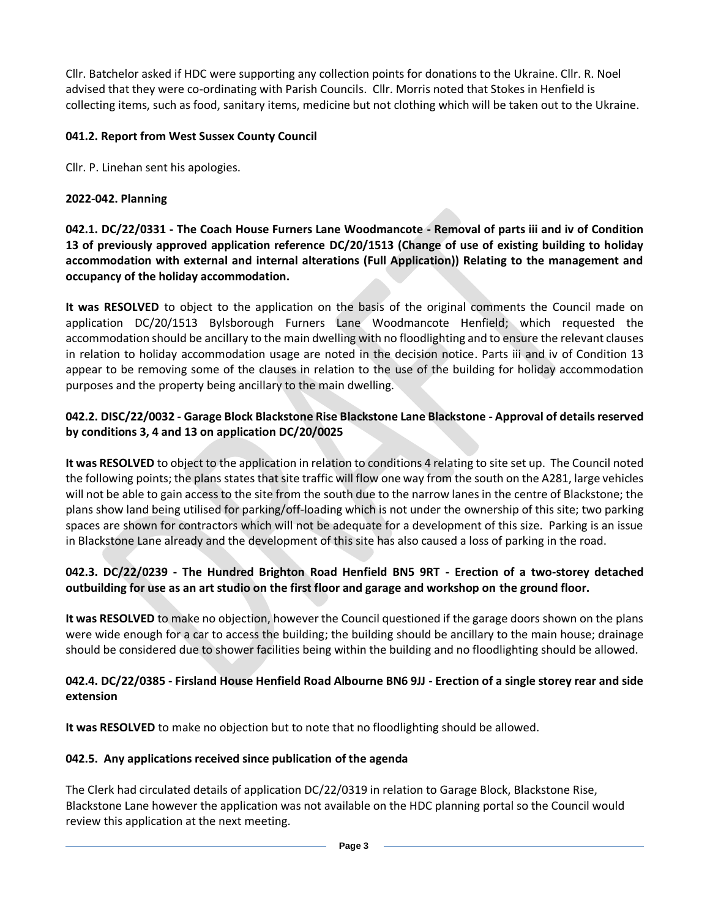Cllr. Batchelor asked if HDC were supporting any collection points for donations to the Ukraine. Cllr. R. Noel advised that they were co-ordinating with Parish Councils. Cllr. Morris noted that Stokes in Henfield is collecting items, such as food, sanitary items, medicine but not clothing which will be taken out to the Ukraine.

# **041.2. Report from West Sussex County Council**

Cllr. P. Linehan sent his apologies.

# **2022-042. Planning**

**042.1. DC/22/0331 - The Coach House Furners Lane Woodmancote - Removal of parts iii and iv of Condition 13 of previously approved application reference DC/20/1513 (Change of use of existing building to holiday accommodation with external and internal alterations (Full Application)) Relating to the management and occupancy of the holiday accommodation.**

**It was RESOLVED** to object to the application on the basis of the original comments the Council made on application DC/20/1513 Bylsborough Furners Lane Woodmancote Henfield; which requested the accommodation should be ancillary to the main dwelling with no floodlighting and to ensure the relevant clauses in relation to holiday accommodation usage are noted in the decision notice. Parts iii and iv of Condition 13 appear to be removing some of the clauses in relation to the use of the building for holiday accommodation purposes and the property being ancillary to the main dwelling.

# **042.2. DISC/22/0032 - Garage Block Blackstone Rise Blackstone Lane Blackstone - Approval of details reserved by conditions 3, 4 and 13 on application DC/20/0025**

**It was RESOLVED** to object to the application in relation to conditions 4 relating to site set up. The Council noted the following points; the plans states that site traffic will flow one way from the south on the A281, large vehicles will not be able to gain access to the site from the south due to the narrow lanes in the centre of Blackstone; the plans show land being utilised for parking/off-loading which is not under the ownership of this site; two parking spaces are shown for contractors which will not be adequate for a development of this size. Parking is an issue in Blackstone Lane already and the development of this site has also caused a loss of parking in the road.

# **042.3. DC/22/0239 - The Hundred Brighton Road Henfield BN5 9RT - Erection of a two-storey detached outbuilding for use as an art studio on the first floor and garage and workshop on the ground floor.**

**It was RESOLVED** to make no objection, however the Council questioned if the garage doors shown on the plans were wide enough for a car to access the building; the building should be ancillary to the main house; drainage should be considered due to shower facilities being within the building and no floodlighting should be allowed.

## **042.4. DC/22/0385 - Firsland House Henfield Road Albourne BN6 9JJ - Erection of a single storey rear and side extension**

**It was RESOLVED** to make no objection but to note that no floodlighting should be allowed.

## **042.5. Any applications received since publication of the agenda**

The Clerk had circulated details of application DC/22/0319 in relation to Garage Block, Blackstone Rise, Blackstone Lane however the application was not available on the HDC planning portal so the Council would review this application at the next meeting.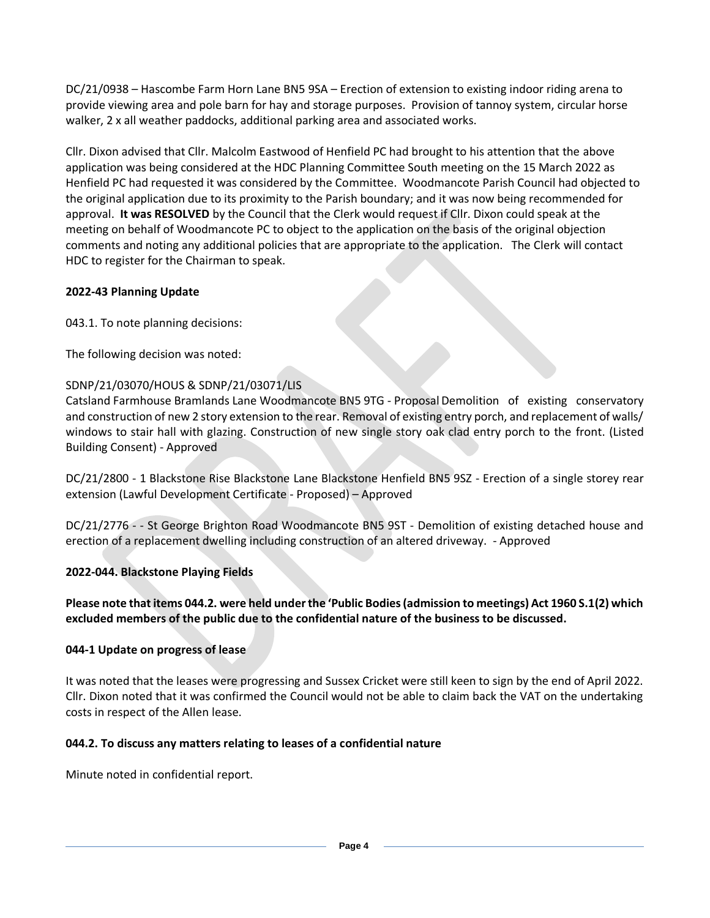DC/21/0938 – Hascombe Farm Horn Lane BN5 9SA – Erection of extension to existing indoor riding arena to provide viewing area and pole barn for hay and storage purposes. Provision of tannoy system, circular horse walker, 2 x all weather paddocks, additional parking area and associated works.

Cllr. Dixon advised that Cllr. Malcolm Eastwood of Henfield PC had brought to his attention that the above application was being considered at the HDC Planning Committee South meeting on the 15 March 2022 as Henfield PC had requested it was considered by the Committee. Woodmancote Parish Council had objected to the original application due to its proximity to the Parish boundary; and it was now being recommended for approval. **It was RESOLVED** by the Council that the Clerk would request if Cllr. Dixon could speak at the meeting on behalf of Woodmancote PC to object to the application on the basis of the original objection comments and noting any additional policies that are appropriate to the application. The Clerk will contact HDC to register for the Chairman to speak.

#### **2022-43 Planning Update**

043.1. To note planning decisions:

The following decision was noted:

## SDNP/21/03070/HOUS & SDNP/21/03071/LIS

Catsland Farmhouse Bramlands Lane Woodmancote BN5 9TG - Proposal Demolition of existing conservatory and construction of new 2 story extension to the rear. Removal of existing entry porch, and replacement of walls/ windows to stair hall with glazing. Construction of new single story oak clad entry porch to the front. (Listed Building Consent) - Approved

DC/21/2800 - 1 Blackstone Rise Blackstone Lane Blackstone Henfield BN5 9SZ - Erection of a single storey rear extension (Lawful Development Certificate - Proposed) – Approved

DC/21/2776 - - St George Brighton Road Woodmancote BN5 9ST - Demolition of existing detached house and erection of a replacement dwelling including construction of an altered driveway. - Approved

#### **2022-044. Blackstone Playing Fields**

## **Please note that items 044.2. were held under the 'Public Bodies (admission to meetings) Act 1960 S.1(2) which excluded members of the public due to the confidential nature of the business to be discussed.**

#### **044-1 Update on progress of lease**

It was noted that the leases were progressing and Sussex Cricket were still keen to sign by the end of April 2022. Cllr. Dixon noted that it was confirmed the Council would not be able to claim back the VAT on the undertaking costs in respect of the Allen lease.

## **044.2. To discuss any matters relating to leases of a confidential nature**

Minute noted in confidential report.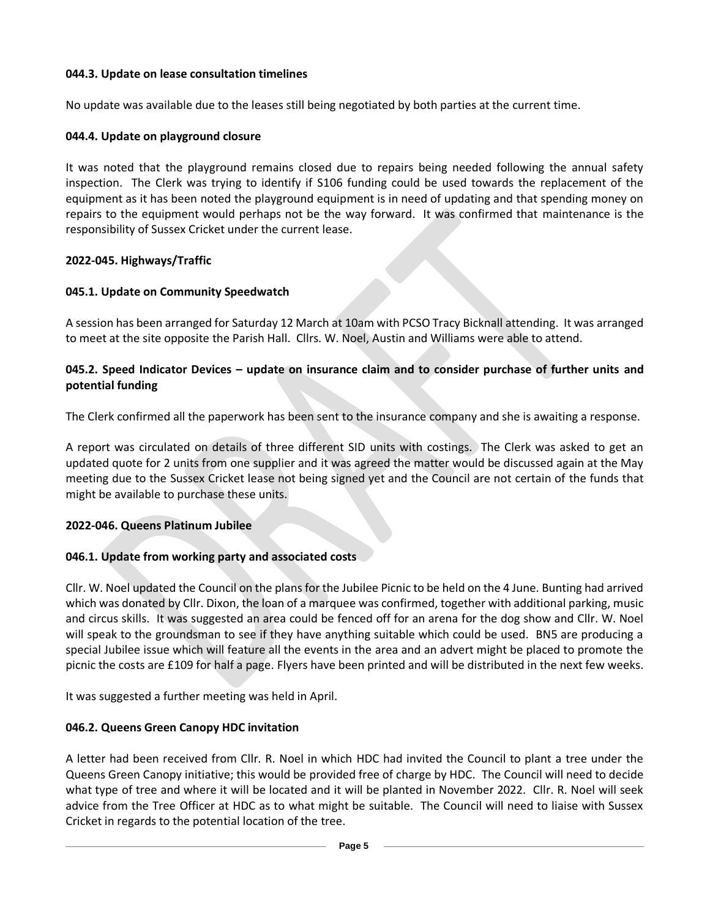## **044.3. Update on lease consultation timelines**

No update was available due to the leases still being negotiated by both parties at the current time.

#### **044.4. Update on playground closure**

It was noted that the playground remains closed due to repairs being needed following the annual safety inspection. The Clerk was trying to identify if S106 funding could be used towards the replacement of the equipment as it has been noted the playground equipment is in need of updating and that spending money on repairs to the equipment would perhaps not be the way forward. It was confirmed that maintenance is the responsibility of Sussex Cricket under the current lease.

#### **2022-045. Highways/Traffic**

#### **045.1. Update on Community Speedwatch**

A session has been arranged for Saturday 12 March at 10am with PCSO Tracy Bicknall attending. It was arranged to meet at the site opposite the Parish Hall. Cllrs. W. Noel, Austin and Williams were able to attend.

#### **045.2. Speed Indicator Devices – update on insurance claim and to consider purchase of further units and potential funding**

The Clerk confirmed all the paperwork has been sent to the insurance company and she is awaiting a response.

A report was circulated on details of three different SID units with costings. The Clerk was asked to get an updated quote for 2 units from one supplier and it was agreed the matter would be discussed again at the May meeting due to the Sussex Cricket lease not being signed yet and the Council are not certain of the funds that might be available to purchase these units.

#### **2022-046. Queens Platinum Jubilee**

#### **046.1. Update from working party and associated costs**

Cllr. W. Noel updated the Council on the plans for the Jubilee Picnic to be held on the 4 June. Bunting had arrived which was donated by Cllr. Dixon, the loan of a marquee was confirmed, together with additional parking, music and circus skills. It was suggested an area could be fenced off for an arena for the dog show and Cllr. W. Noel will speak to the groundsman to see if they have anything suitable which could be used. BN5 are producing a special Jubilee issue which will feature all the events in the area and an advert might be placed to promote the picnic the costs are £109 for half a page. Flyers have been printed and will be distributed in the next few weeks.

It was suggested a further meeting was held in April.

#### **046.2. Queens Green Canopy HDC invitation**

A letter had been received from Cllr. R. Noel in which HDC had invited the Council to plant a tree under the Queens Green Canopy initiative; this would be provided free of charge by HDC. The Council will need to decide what type of tree and where it will be located and it will be planted in November 2022. Cllr. R. Noel will seek advice from the Tree Officer at HDC as to what might be suitable. The Council will need to liaise with Sussex Cricket in regards to the potential location of the tree.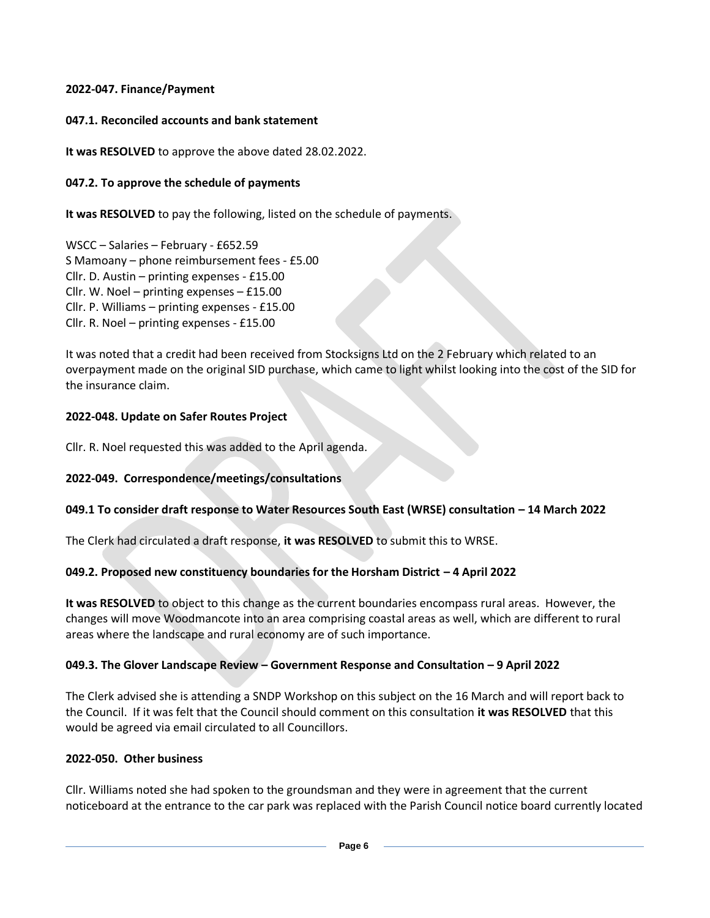## **2022-047. Finance/Payment**

## **047.1. Reconciled accounts and bank statement**

**It was RESOLVED** to approve the above dated 28.02.2022.

# **047.2. To approve the schedule of payments**

**It was RESOLVED** to pay the following, listed on the schedule of payments.

WSCC – Salaries – February - £652.59 S Mamoany – phone reimbursement fees - £5.00 Cllr. D. Austin – printing expenses - £15.00 Cllr. W. Noel – printing expenses – £15.00 Cllr. P. Williams – printing expenses - £15.00 Cllr. R. Noel – printing expenses - £15.00

It was noted that a credit had been received from Stocksigns Ltd on the 2 February which related to an overpayment made on the original SID purchase, which came to light whilst looking into the cost of the SID for the insurance claim.

# **2022-048. Update on Safer Routes Project**

Cllr. R. Noel requested this was added to the April agenda.

# **2022-049. Correspondence/meetings/consultations**

# **049.1 To consider draft response to Water Resources South East (WRSE) consultation – 14 March 2022**

The Clerk had circulated a draft response, **it was RESOLVED** to submit this to WRSE.

# **049.2. Proposed new constituency boundaries for the Horsham District – 4 April 2022**

**It was RESOLVED** to object to this change as the current boundaries encompass rural areas. However, the changes will move Woodmancote into an area comprising coastal areas as well, which are different to rural areas where the landscape and rural economy are of such importance.

# **049.3. The Glover Landscape Review – Government Response and Consultation – 9 April 2022**

The Clerk advised she is attending a SNDP Workshop on this subject on the 16 March and will report back to the Council. If it was felt that the Council should comment on this consultation **it was RESOLVED** that this would be agreed via email circulated to all Councillors.

## **2022-050. Other business**

Cllr. Williams noted she had spoken to the groundsman and they were in agreement that the current noticeboard at the entrance to the car park was replaced with the Parish Council notice board currently located